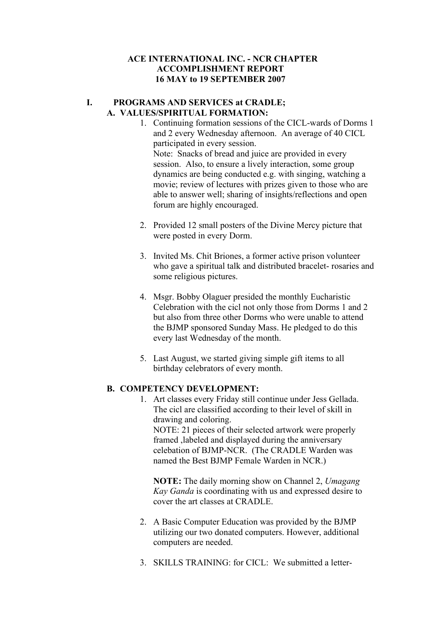#### **I. PROGRAMS AND SERVICES at CRADLE; A. VALUES/SPIRITUAL FORMATION:**

- 1. Continuing formation sessions of the CICL-wards of Dorms 1 and 2 every Wednesday afternoon. An average of 40 CICL participated in every session. Note: Snacks of bread and juice are provided in every session. Also, to ensure a lively interaction, some group dynamics are being conducted e.g. with singing, watching a movie; review of lectures with prizes given to those who are able to answer well; sharing of insights/reflections and open forum are highly encouraged.
- 2. Provided 12 small posters of the Divine Mercy picture that were posted in every Dorm.
- 3. Invited Ms. Chit Briones, a former active prison volunteer who gave a spiritual talk and distributed bracelet- rosaries and some religious pictures.
- 4. Msgr. Bobby Olaguer presided the monthly Eucharistic Celebration with the cicl not only those from Dorms 1 and 2 but also from three other Dorms who were unable to attend the BJMP sponsored Sunday Mass. He pledged to do this every last Wednesday of the month.
- 5. Last August, we started giving simple gift items to all birthday celebrators of every month.

# **B. COMPETENCY DEVELOPMENT:**

1. Art classes every Friday still continue under Jess Gellada. The cicl are classified according to their level of skill in drawing and coloring. NOTE: 21 pieces of their selected artwork were properly framed ,labeled and displayed during the anniversary celebation of BJMP-NCR. (The CRADLE Warden was named the Best BJMP Female Warden in NCR.)

**NOTE:** The daily morning show on Channel 2, *Umagang Kay Ganda* is coordinating with us and expressed desire to cover the art classes at CRADLE.

- 2. A Basic Computer Education was provided by the BJMP utilizing our two donated computers. However, additional computers are needed.
- 3. SKILLS TRAINING: for CICL: We submitted a letter-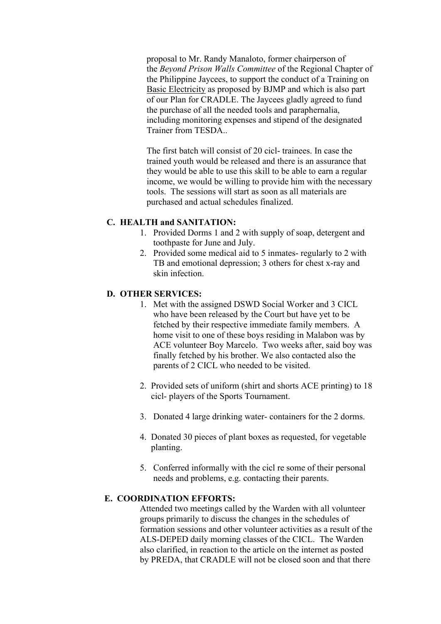proposal to Mr. Randy Manaloto, former chairperson of the *Beyond Prison Walls Committee* of the Regional Chapter of the Philippine Jaycees, to support the conduct of a Training on Basic Electricity as proposed by BJMP and which is also part of our Plan for CRADLE. The Jaycees gladly agreed to fund the purchase of all the needed tools and paraphernalia, including monitoring expenses and stipend of the designated Trainer from TESDA..

The first batch will consist of 20 cicl- trainees. In case the trained youth would be released and there is an assurance that they would be able to use this skill to be able to earn a regular income, we would be willing to provide him with the necessary tools. The sessions will start as soon as all materials are purchased and actual schedules finalized.

## **C. HEALTH and SANITATION:**

- 1. Provided Dorms 1 and 2 with supply of soap, detergent and toothpaste for June and July.
- 2. Provided some medical aid to 5 inmates- regularly to 2 with TB and emotional depression; 3 others for chest x-ray and skin infection.

#### **D. OTHER SERVICES:**

- 1. Met with the assigned DSWD Social Worker and 3 CICL who have been released by the Court but have yet to be fetched by their respective immediate family members. A home visit to one of these boys residing in Malabon was by ACE volunteer Boy Marcelo. Two weeks after, said boy was finally fetched by his brother. We also contacted also the parents of 2 CICL who needed to be visited.
- 2. Provided sets of uniform (shirt and shorts ACE printing) to 18 cicl- players of the Sports Tournament.
- 3. Donated 4 large drinking water- containers for the 2 dorms.
- 4. Donated 30 pieces of plant boxes as requested, for vegetable planting.
- 5. Conferred informally with the cicl re some of their personal needs and problems, e.g. contacting their parents.

## **E. COORDINATION EFFORTS:**

Attended two meetings called by the Warden with all volunteer groups primarily to discuss the changes in the schedules of formation sessions and other volunteer activities as a result of the ALS-DEPED daily morning classes of the CICL. The Warden also clarified, in reaction to the article on the internet as posted by PREDA, that CRADLE will not be closed soon and that there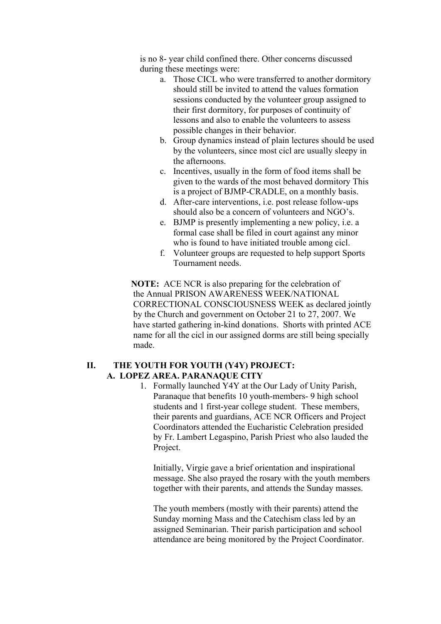is no 8- year child confined there. Other concerns discussed during these meetings were:

- a. Those CICL who were transferred to another dormitory should still be invited to attend the values formation sessions conducted by the volunteer group assigned to their first dormitory, for purposes of continuity of lessons and also to enable the volunteers to assess possible changes in their behavior.
- b. Group dynamics instead of plain lectures should be used by the volunteers, since most cicl are usually sleepy in the afternoons.
- c. Incentives, usually in the form of food items shall be given to the wards of the most behaved dormitory This is a project of BJMP-CRADLE, on a monthly basis.
- d. After-care interventions, i.e. post release follow-ups should also be a concern of volunteers and NGO's.
- e. BJMP is presently implementing a new policy, i.e. a formal case shall be filed in court against any minor who is found to have initiated trouble among cicl.
- f. Volunteer groups are requested to help support Sports Tournament needs.

 **NOTE:** ACE NCR is also preparing for the celebration of the Annual PRISON AWARENESS WEEK/NATIONAL CORRECTIONAL CONSCIOUSNESS WEEK as declared jointly by the Church and government on October 21 to 27, 2007. We have started gathering in-kind donations. Shorts with printed ACE name for all the cicl in our assigned dorms are still being specially made.

#### **II. THE YOUTH FOR YOUTH (Y4Y) PROJECT: A. LOPEZ AREA. PARANAQUE CITY**

1. Formally launched Y4Y at the Our Lady of Unity Parish, Paranaque that benefits 10 youth-members- 9 high school students and 1 first-year college student. These members, their parents and guardians, ACE NCR Officers and Project Coordinators attended the Eucharistic Celebration presided by Fr. Lambert Legaspino, Parish Priest who also lauded the Project.

Initially, Virgie gave a brief orientation and inspirational message. She also prayed the rosary with the youth members together with their parents, and attends the Sunday masses.

The youth members (mostly with their parents) attend the Sunday morning Mass and the Catechism class led by an assigned Seminarian. Their parish participation and school attendance are being monitored by the Project Coordinator.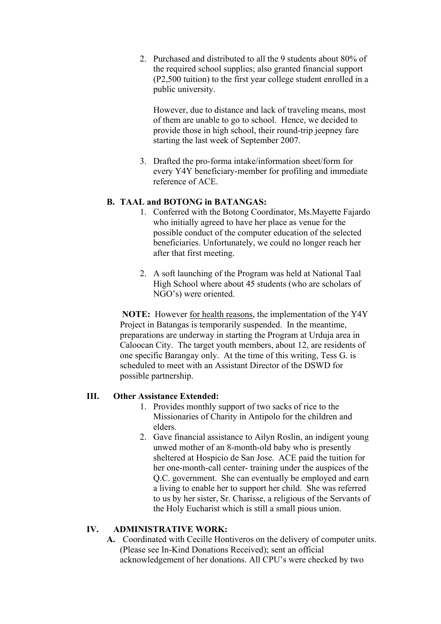2. Purchased and distributed to all the 9 students about 80% of the required school supplies; also granted financial support (P2,500 tuition) to the first year college student enrolled in a public university.

However, due to distance and lack of traveling means, most of them are unable to go to school. Hence, we decided to provide those in high school, their round-trip jeepney fare starting the last week of September 2007.

3. Drafted the pro-forma intake/information sheet/form for every Y4Y beneficiary-member for profiling and immediate reference of ACE.

#### **B. TAAL and BOTONG in BATANGAS:**

- 1. Conferred with the Botong Coordinator, Ms.Mayette Fajardo who initially agreed to have her place as venue for the possible conduct of the computer education of the selected beneficiaries. Unfortunately, we could no longer reach her after that first meeting.
- 2. A soft launching of the Program was held at National Taal High School where about 45 students (who are scholars of NGO's) were oriented.

**NOTE:** However for health reasons, the implementation of the Y4Y Project in Batangas is temporarily suspended. In the meantime, preparations are underway in starting the Program at Urduja area in Caloocan City. The target youth members, about 12, are residents of one specific Barangay only. At the time of this writing, Tess G. is scheduled to meet with an Assistant Director of the DSWD for possible partnership.

### **III. Other Assistance Extended:**

- 1. Provides monthly support of two sacks of rice to the Missionaries of Charity in Antipolo for the children and elders.
- 2. Gave financial assistance to Ailyn Roslin, an indigent young unwed mother of an 8-month-old baby who is presently sheltered at Hospicio de San Jose. ACE paid the tuition for her one-month-call center- training under the auspices of the Q.C. government. She can eventually be employed and earn a living to enable her to support her child. She was referred to us by her sister, Sr. Charisse, a religious of the Servants of the Holy Eucharist which is still a small pious union.

### **IV. ADMINISTRATIVE WORK:**

**A.** Coordinated with Cecille Hontiveros on the delivery of computer units. (Please see In-Kind Donations Received); sent an official acknowledgement of her donations. All CPU's were checked by two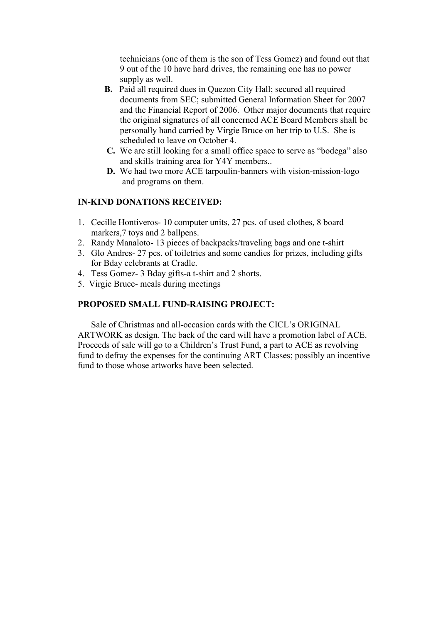technicians (one of them is the son of Tess Gomez) and found out that 9 out of the 10 have hard drives, the remaining one has no power supply as well.

- **B.** Paid all required dues in Quezon City Hall; secured all required documents from SEC; submitted General Information Sheet for 2007 and the Financial Report of 2006. Other major documents that require the original signatures of all concerned ACE Board Members shall be personally hand carried by Virgie Bruce on her trip to U.S. She is scheduled to leave on October 4.
- **C.** We are still looking for a small office space to serve as "bodega" also and skills training area for Y4Y members..
- **D.** We had two more ACE tarpoulin-banners with vision-mission-logo and programs on them.

#### **IN-KIND DONATIONS RECEIVED:**

- 1. Cecille Hontiveros- 10 computer units, 27 pcs. of used clothes, 8 board markers, 7 toys and 2 ballpens.
- 2. Randy Manaloto- 13 pieces of backpacks/traveling bags and one t-shirt
- 3. Glo Andres- 27 pcs. of toiletries and some candies for prizes, including gifts for Bday celebrants at Cradle.
- 4. Tess Gomez- 3 Bday gifts-a t-shirt and 2 shorts.
- 5. Virgie Bruce- meals during meetings

#### **PROPOSED SMALL FUND-RAISING PROJECT:**

 Sale of Christmas and all-occasion cards with the CICL's ORIGINAL ARTWORK as design. The back of the card will have a promotion label of ACE. Proceeds of sale will go to a Children's Trust Fund, a part to ACE as revolving fund to defray the expenses for the continuing ART Classes; possibly an incentive fund to those whose artworks have been selected.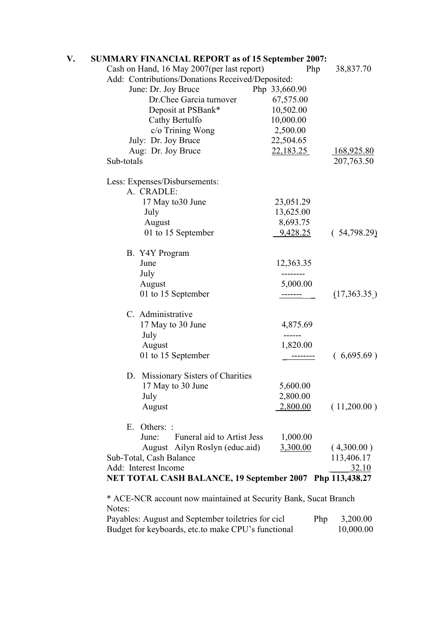| V. | <b>SUMMARY FINANCIAL REPORT as of 15 September 2007:</b> |                 |                   |
|----|----------------------------------------------------------|-----------------|-------------------|
|    | Cash on Hand, 16 May 2007(per last report)               | Php             | 38,837.70         |
|    | Add: Contributions/Donations Received/Deposited:         |                 |                   |
|    | June: Dr. Joy Bruce                                      | Php 33,660.90   |                   |
|    | Dr.Chee Garcia turnover                                  | 67,575.00       |                   |
|    | Deposit at PSBank*                                       | 10,502.00       |                   |
|    | Cathy Bertulfo                                           | 10,000.00       |                   |
|    | c/o Trining Wong                                         | 2,500.00        |                   |
|    | July: Dr. Joy Bruce                                      | 22,504.65       |                   |
|    | Aug: Dr. Joy Bruce                                       | 22,183.25       | <u>168,925.80</u> |
|    | Sub-totals                                               |                 | 207,763.50        |
|    | Less: Expenses/Disbursements:                            |                 |                   |
|    | A. CRADLE:                                               |                 |                   |
|    | 17 May to 30 June                                        | 23,051.29       |                   |
|    | July                                                     | 13,625.00       |                   |
|    | August                                                   | 8,693.75        |                   |
|    | 01 to 15 September                                       | 9,428.25        | (54,798.29)       |
|    | B. Y4Y Program                                           |                 |                   |
|    | June                                                     | 12,363.35       |                   |
|    | July                                                     | --------        |                   |
|    | August                                                   | 5,000.00        |                   |
|    | 01 to 15 September                                       |                 | (17,363.35)       |
|    | C. Administrative                                        |                 |                   |
|    | 17 May to 30 June                                        | 4,875.69        |                   |
|    | July                                                     | ------          |                   |
|    | August                                                   | 1,820.00        |                   |
|    | 01 to 15 September                                       |                 | (6,695.69)        |
|    | D. Missionary Sisters of Charities                       |                 |                   |
|    | 17 May to 30 June                                        | 5,600.00        |                   |
|    | July                                                     | 2,800.00        |                   |
|    | August                                                   | <u>2,800.00</u> | (11,200.00)       |
|    | E. Others: :                                             |                 |                   |
|    | June:<br>Funeral aid to Artist Jess                      | 1,000.00        |                   |
|    | August Ailyn Roslyn (educ.aid)                           | 3,300.00        | (4,300.00)        |
|    | Sub-Total, Cash Balance<br>Add: Interest Income          |                 | 113,406.17        |
|    |                                                          |                 | 32.10             |
|    | NET TOTAL CASH BALANCE, 19 September 2007 Php 113,438.27 |                 |                   |

 \* ACE-NCR account now maintained at Security Bank, Sucat Branch Notes:

| Payables: August and September toiletries for cicl | <b>Php</b> | 3,200.00  |
|----------------------------------------------------|------------|-----------|
| Budget for keyboards, etc.to make CPU's functional |            | 10,000.00 |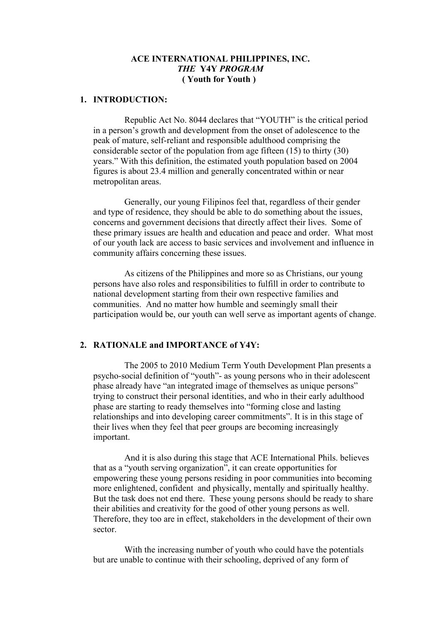#### **ACE INTERNATIONAL PHILIPPINES, INC.** *THE* **Y4Y** *PROGRAM*  **( Youth for Youth )**

#### **1. INTRODUCTION:**

Republic Act No. 8044 declares that "YOUTH" is the critical period in a person's growth and development from the onset of adolescence to the peak of mature, self-reliant and responsible adulthood comprising the considerable sector of the population from age fifteen (15) to thirty (30) years." With this definition, the estimated youth population based on 2004 figures is about 23.4 million and generally concentrated within or near metropolitan areas.

Generally, our young Filipinos feel that, regardless of their gender and type of residence, they should be able to do something about the issues, concerns and government decisions that directly affect their lives. Some of these primary issues are health and education and peace and order. What most of our youth lack are access to basic services and involvement and influence in community affairs concerning these issues.

As citizens of the Philippines and more so as Christians, our young persons have also roles and responsibilities to fulfill in order to contribute to national development starting from their own respective families and communities. And no matter how humble and seemingly small their participation would be, our youth can well serve as important agents of change.

#### **2. RATIONALE and IMPORTANCE of Y4Y:**

The 2005 to 2010 Medium Term Youth Development Plan presents a psycho-social definition of "youth"- as young persons who in their adolescent phase already have "an integrated image of themselves as unique persons" trying to construct their personal identities, and who in their early adulthood phase are starting to ready themselves into "forming close and lasting relationships and into developing career commitments". It is in this stage of their lives when they feel that peer groups are becoming increasingly important.

And it is also during this stage that ACE International Phils. believes that as a "youth serving organization", it can create opportunities for empowering these young persons residing in poor communities into becoming more enlightened, confident and physically, mentally and spiritually healthy. But the task does not end there. These young persons should be ready to share their abilities and creativity for the good of other young persons as well. Therefore, they too are in effect, stakeholders in the development of their own sector.

With the increasing number of youth who could have the potentials but are unable to continue with their schooling, deprived of any form of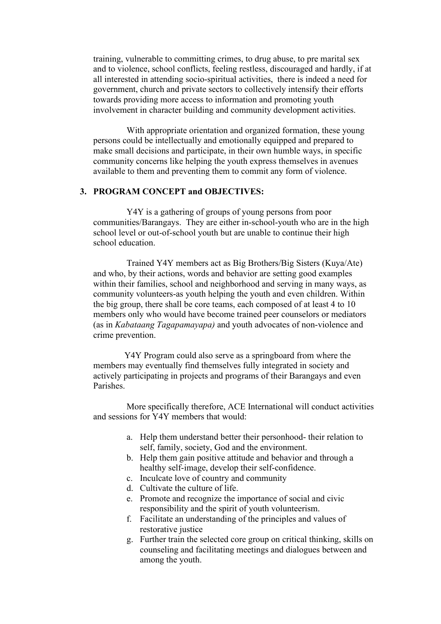training, vulnerable to committing crimes, to drug abuse, to pre marital sex and to violence, school conflicts, feeling restless, discouraged and hardly, if at all interested in attending socio-spiritual activities, there is indeed a need for government, church and private sectors to collectively intensify their efforts towards providing more access to information and promoting youth involvement in character building and community development activities.

With appropriate orientation and organized formation, these young persons could be intellectually and emotionally equipped and prepared to make small decisions and participate, in their own humble ways, in specific community concerns like helping the youth express themselves in avenues available to them and preventing them to commit any form of violence.

## **3. PROGRAM CONCEPT and OBJECTIVES:**

Y4Y is a gathering of groups of young persons from poor communities/Barangays. They are either in-school-youth who are in the high school level or out-of-school youth but are unable to continue their high school education.

Trained Y4Y members act as Big Brothers/Big Sisters (Kuya/Ate) and who, by their actions, words and behavior are setting good examples within their families, school and neighborhood and serving in many ways, as community volunteers-as youth helping the youth and even children. Within the big group, there shall be core teams, each composed of at least 4 to 10 members only who would have become trained peer counselors or mediators (as in *Kabataang Tagapamayapa)* and youth advocates of non-violence and crime prevention.

Y4Y Program could also serve as a springboard from where the members may eventually find themselves fully integrated in society and actively participating in projects and programs of their Barangays and even Parishes.

More specifically therefore, ACE International will conduct activities and sessions for Y4Y members that would:

- a. Help them understand better their personhood- their relation to self, family, society, God and the environment.
- b. Help them gain positive attitude and behavior and through a healthy self-image, develop their self-confidence.
- c. Inculcate love of country and community
- d. Cultivate the culture of life.
- e. Promote and recognize the importance of social and civic responsibility and the spirit of youth volunteerism.
- f. Facilitate an understanding of the principles and values of restorative justice
- g. Further train the selected core group on critical thinking, skills on counseling and facilitating meetings and dialogues between and among the youth.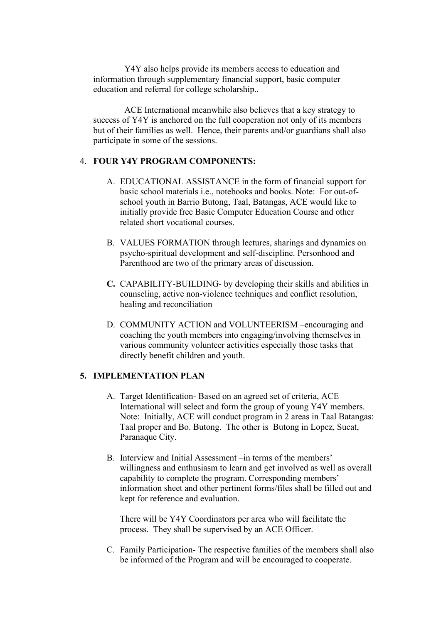Y4Y also helps provide its members access to education and information through supplementary financial support, basic computer education and referral for college scholarship..

ACE International meanwhile also believes that a key strategy to success of Y4Y is anchored on the full cooperation not only of its members but of their families as well. Hence, their parents and/or guardians shall also participate in some of the sessions.

#### 4. **FOUR Y4Y PROGRAM COMPONENTS:**

- A. EDUCATIONAL ASSISTANCE in the form of financial support for basic school materials i.e., notebooks and books. Note: For out-ofschool youth in Barrio Butong, Taal, Batangas, ACE would like to initially provide free Basic Computer Education Course and other related short vocational courses.
- B. VALUES FORMATION through lectures, sharings and dynamics on psycho-spiritual development and self-discipline. Personhood and Parenthood are two of the primary areas of discussion.
- **C.** CAPABILITY-BUILDING- by developing their skills and abilities in counseling, active non-violence techniques and conflict resolution, healing and reconciliation
- D. COMMUNITY ACTION and VOLUNTEERISM –encouraging and coaching the youth members into engaging/involving themselves in various community volunteer activities especially those tasks that directly benefit children and youth.

## **5. IMPLEMENTATION PLAN**

- A. Target Identification- Based on an agreed set of criteria, ACE International will select and form the group of young Y4Y members. Note: Initially, ACE will conduct program in 2 areas in Taal Batangas: Taal proper and Bo. Butong. The other is Butong in Lopez, Sucat, Paranaque City.
- B. Interview and Initial Assessment –in terms of the members' willingness and enthusiasm to learn and get involved as well as overall capability to complete the program. Corresponding members' information sheet and other pertinent forms/files shall be filled out and kept for reference and evaluation.

There will be Y4Y Coordinators per area who will facilitate the process. They shall be supervised by an ACE Officer.

C. Family Participation- The respective families of the members shall also be informed of the Program and will be encouraged to cooperate.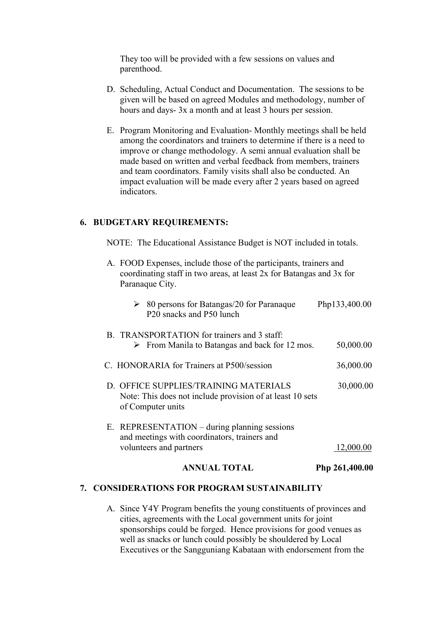They too will be provided with a few sessions on values and parenthood.

- D. Scheduling, Actual Conduct and Documentation. The sessions to be given will be based on agreed Modules and methodology, number of hours and days- 3x a month and at least 3 hours per session.
- E. Program Monitoring and Evaluation- Monthly meetings shall be held among the coordinators and trainers to determine if there is a need to improve or change methodology. A semi annual evaluation shall be made based on written and verbal feedback from members, trainers and team coordinators. Family visits shall also be conducted. An impact evaluation will be made every after 2 years based on agreed indicators.

#### **6. BUDGETARY REQUIREMENTS:**

NOTE: The Educational Assistance Budget is NOT included in totals.

| D. OFFICE SUPPLIES/TRAINING MATERIALS<br>30,000.00<br>Note: This does not include provision of at least 10 sets<br>of Computer units |
|--------------------------------------------------------------------------------------------------------------------------------------|
| E. REPRESENTATION – during planning sessions<br>and meetings with coordinators, trainers and<br>volunteers and partners<br>12,000.00 |
|                                                                                                                                      |

#### **7. CONSIDERATIONS FOR PROGRAM SUSTAINABILITY**

A. Since Y4Y Program benefits the young constituents of provinces and cities, agreements with the Local government units for joint sponsorships could be forged. Hence provisions for good venues as well as snacks or lunch could possibly be shouldered by Local Executives or the Sangguniang Kabataan with endorsement from the